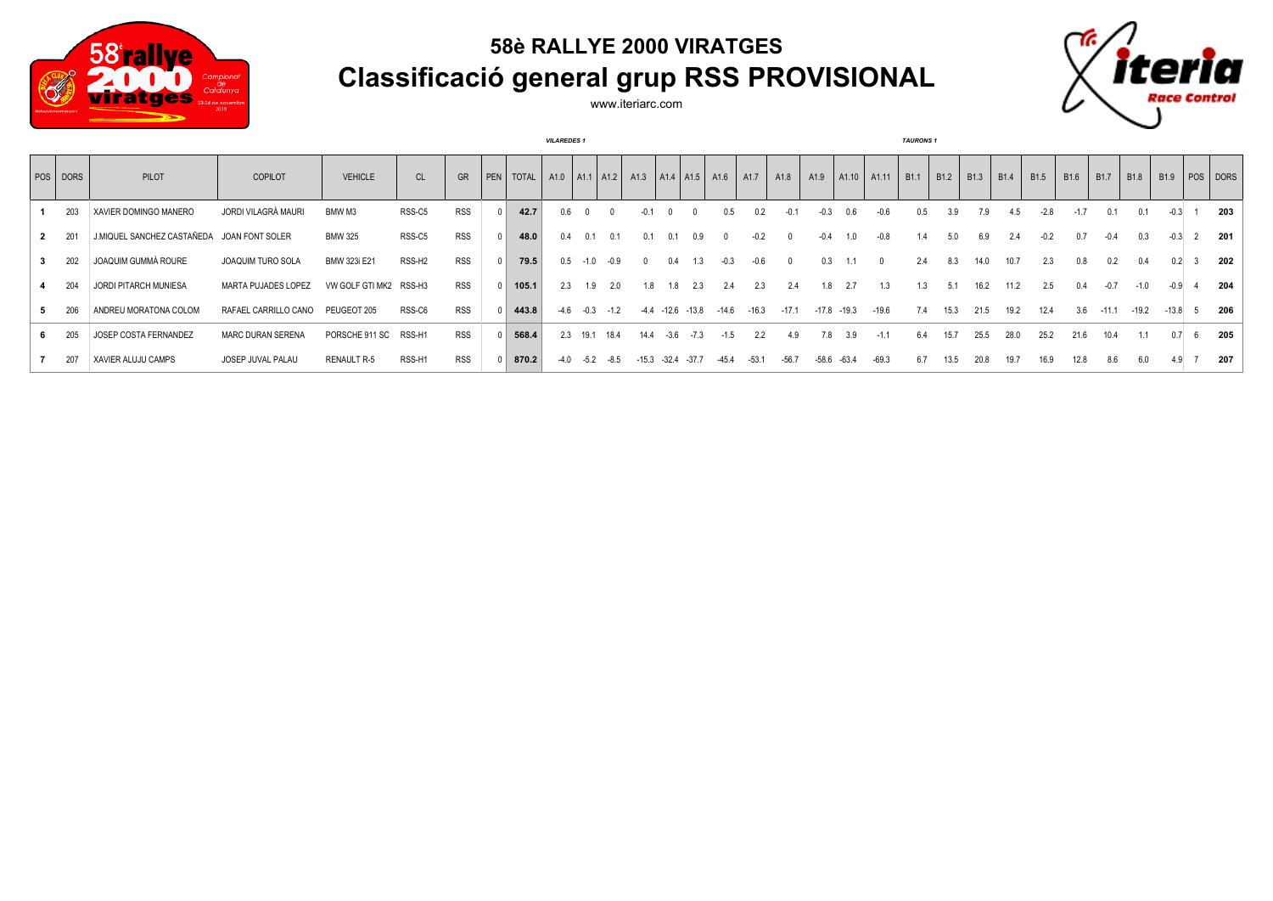

## **58è RALLYE 2000 VIRATGES Classificació general grup RSS PROVISIONAL**



www.iteriarc.com

|          |                                            |                          |                        |                    |            |                   | <b>VILAREDES 1</b> |            |        |         |         |                        |                                                       |         |         |         |                |                             | <b>TAURONS</b> 1 |                  |                     |      |                  |                  |                  |                  |         |                           |
|----------|--------------------------------------------|--------------------------|------------------------|--------------------|------------|-------------------|--------------------|------------|--------|---------|---------|------------------------|-------------------------------------------------------|---------|---------|---------|----------------|-----------------------------|------------------|------------------|---------------------|------|------------------|------------------|------------------|------------------|---------|---------------------------|
| POS DORS | PILOT                                      | <b>COPILOT</b>           | <b>VEHICLE</b>         | <b>CL</b>          | <b>GR</b>  | $ $ PEN $ $ TOTAL |                    |            |        |         |         |                        | A1.0   A1.1   A1.2   A1.3   A1.4   A1.5   A1.6   A1.7 |         | A1.8    |         |                | A1.9   A1.10   A1.11   B1.1 |                  | B <sub>1.2</sub> | $\vert$ B1.3   B1.4 |      | B <sub>1.5</sub> | B <sub>1.6</sub> | B <sub>1.7</sub> | B <sub>1.8</sub> |         | B <sub>1.9</sub> POS DORS |
| 203      | XAVIER DOMINGO MANERO                      | JORDI VILAGRÀ MAURI      | BMW M3                 | RSS-C5             | <b>RSS</b> | 42.7              | 0.6                |            |        |         |         |                        |                                                       | 0.2     |         | $-0.3$  | 06             | -0.6                        | 0.5              | 3.9              | 7.9                 | 4.5  | $-2.8$           |                  | 0.1              | 0.1              |         | 203                       |
| 201      | J.MIQUEL SANCHEZ CASTAÑEDA JOAN FONT SOLER |                          | <b>BMW 325</b>         | RSS-C5             | <b>RSS</b> | 48.0              | 0.4                |            |        |         |         |                        |                                                       | -0.2    |         | -0.4    | 1.0            |                             |                  | 5.0              | 6.9                 | 2.4  |                  | 0.7              | $-0.4$           | 0.3              |         | 201                       |
| 202      | JOAQUIM GUMMÀ ROURE                        | JOAQUIM TURO SOLA        | BMW 323i E21           | RSS-H <sub>2</sub> | <b>RSS</b> | 79.5              | 0.5                |            | $-0.9$ |         |         |                        | -0.3                                                  | -0.6    |         | 0.3     | 1.1            |                             | 2.4              | 8.3              | 14.0                | 10.7 | 2.3              | 0.8              | 0.2              | 0.4              | 0.2     | 202                       |
| 204      | JORDI PITARCH MUNIESA                      | MARTA PUJADES LOPEZ      | VW GOLF GTI MK2 RSS-H3 |                    | <b>RSS</b> | 105.1             | 2.3                | 1.9        | 2.0    | 1.8     | 1.8     | 2.3                    | 2.4                                                   | 2.3     | 2.4     | 1.8     | 2.7            | 1.3                         | 1.3              | 5.1              | 16.2                | 11.2 | 2.5              | 0.4              | $-0.7$           | $-1.0$           |         | 204                       |
| 206      | ANDREU MORATONA COLOM                      | RAFAEL CARRILLO CANO     | PEUGEOT 205            | RSS-C6             | <b>RSS</b> | 443.8             | $-4.6$             | $-0.3$     | $-1.2$ |         |         | $-4.4$ $-12.6$ $-13.8$ | $-14.6$                                               | $-16.3$ | $-17.1$ |         | $-17.8 - 19.3$ | $-19.6$                     | 7.4              | 15.3             | 21.5                | 19.2 | 12.4             | 3.6              | $-11.1$          | $-19.2$          | $-13.8$ | 206                       |
| 205      | JOSEP COSTA FERNANDEZ                      | <b>MARC DURAN SERENA</b> | PORSCHE 911 SC         | RSS-H1             | <b>RSS</b> | 568.4             |                    | $2.3$ 19.1 | 18.4   | 14.4    | $-3.6$  | $-7.3$                 | $-1.5$                                                | 2.2     | 4.9     | 7.8     | 3.9            | $-1.1$                      | 6.4              | 15.7             | 25.5                | 28.0 | 25.2             | 21.6             | 10.4             |                  |         | 205                       |
| 207      | XAVIER ALUJU CAMPS                         | JOSEP JUVAL PALAU        | <b>RENAULT R-5</b>     | RSS-H1             | <b>RSS</b> | 870.2             | $-4.0$             | $-5.2$     | $-8.5$ | $-15.3$ | $-32.4$ | $-37.7$                | $-45.4$                                               | $-53.1$ | $-56.7$ | $-58.6$ | $-63.4$        | $-69.3$                     | 6.7              | 13.5             | 20.8                | 19.7 | 16.9             | 12.8             | 8.6              | 6.0              |         | 207                       |